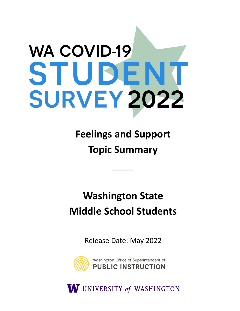# **WA COVID-19** STUDENT **SURVEY 2022**

**Feelings and Support Topic Summary** 

\_\_\_\_

## **Washington State Middle School Students**

Release Date: May 2022



W UNIVERSITY of WASHINGTON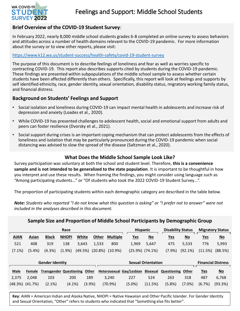

#### **Brief Overview of the COVID-19 Student Survey**:

In February 2022, nearly 8,000 middle school students grades 6-8 completed an online survey to assess behaviors and attitudes across a number of health domains relevant to the COVID-19 pandemic. For more information about the survey or to view other reports, please visit:

#### <https://www.k12.wa.us/student-success/health-safety/covid-19-student-survey>

The purpose of this document is to describe feelings of loneliness and fear as well as worries specific to contracting COVID-19. This report also describes supports cited by students during the COVID-19 pandemic. These findings are presented within subpopulations of the middle school sample to assess whether certain students have been affected differently than others. Specifically, this report will look at feelings and supports by self identified ethnicity, race, gender identity, sexual orientation, disability status, migratory working family status, and financial distress.

#### **Background on Students' Feelings and Support**

- Social isolation and loneliness during COVID-19 can impact mental health in adolescents and increase risk of depression and anxiety (Loades et al., 2020).
- While COVID-19 has presented challenges to adolescent health, social and emotional support from adults and peers can foster resilience (Dvorsky et al., 2021).
- Social support during crises is an important coping mechanism that can protect adolescents from the effects of loneliness and isolation that may be particularly pronounced during the COVID-19 pandemic when social distancing was advised to slow the spread of the disease (Saltzman et al., 2020).

#### **What Does the Middle School Sample Look Like?**

Survey participation was voluntary at both the school and student level. Therefore, **this is a convenience sample and is not intended to be generalized to the state population**. It is important to be thoughtful in how you interpret and use these results. When framing the findings, you might consider using language such as "Among participating students…" or "Of students who took the 2022 COVID-19 Student Survey…".

The proportion of participating students within each demographic category are described in the table below.

*Note: Students who reported "I do not know what this question is asking" or "I prefer not to answer" were not included in the analyses described in this document.* 

| Sample Size and Proportion of Middle School Participants by Demographic Group |                       |                                |              |         |              |                          |           |                           |                           |                          |            |                           |                           |
|-------------------------------------------------------------------------------|-----------------------|--------------------------------|--------------|---------|--------------|--------------------------|-----------|---------------------------|---------------------------|--------------------------|------------|---------------------------|---------------------------|
| Race                                                                          |                       |                                |              |         |              |                          |           | <b>Hispanic</b>           |                           | <b>Disability Status</b> |            | <b>Migratory Status</b>   |                           |
| <b>AIAN</b>                                                                   | <b>Asian</b>          | <b>Black</b>                   | <b>NHOPI</b> | White   | <b>Other</b> | <b>Multiple</b>          |           | <u>Yes</u>                | $\underline{\mathsf{No}}$ | <u>Yes</u>               | $No$       | <u>Yes</u>                | $\underline{\mathsf{No}}$ |
| 521                                                                           | 408                   | 319                            | 138          | 3,643   | 1,533        | 800                      |           | 1,969                     | 5,647                     | 475                      | 5,533      | 776                       | 5,993                     |
| $(7.1\%)$                                                                     | $(5.4\%)$             | (4.3%)                         | (1.9%        | (49.5%) | (20.8%)      | $(10.9\%)$               |           |                           | $(25.9\%)$ $(74.1\%)$     | (7.9%                    | $(92.1\%)$ | (11.5%)                   | (88.5%)                   |
|                                                                               |                       |                                |              |         |              |                          |           |                           |                           |                          |            |                           |                           |
| <b>Gender Identity</b>                                                        |                       |                                |              |         |              |                          |           | <b>Sexual Orientation</b> |                           |                          |            | <b>Financial Distress</b> |                           |
| <b>Male</b>                                                                   | Female                | <b>Transgender Questioning</b> |              | Other   |              | Heterosexual Gay/Lesbian |           |                           | <b>Bisexual</b>           | <b>Questioning</b>       | Other      | <u>Yes</u>                | $\underline{\mathsf{No}}$ |
| 2,375                                                                         | 2,048                 | 103                            | 200          | 189     |              | 3,240                    | 227       |                           | 524                       | 263                      | 318        | 487                       | 6,768                     |
|                                                                               | $(48.3\%)$ $(41.7\%)$ | $(2.1\%)$                      | $(4.1\%)$    | (3.9%)  |              | $(70.9\%)$               | $(5.0\%)$ |                           | (11.5%)                   | (5.8%)                   | $(7.0\%)$  | (6.7%)                    | (93.3%)                   |

**Key**: AIAN = American Indian and Alaska Native, NHOPI = Native Hawaiian and Other Pacific Islander. For Gender Identity and Sexual Orientation, "Other" refers to students who indicated that "Something else fits better".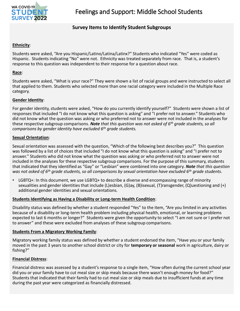

#### **Survey Items to Identify Student Subgroups**

#### **Ethnicity** :

Students were asked, "Are you Hispanic/Latino/Latina/Latinx?" Students who indicated "Yes" were coded as Hispanic. Students indicating "No" were not. Ethnicity was treated separately from race. That is, a student's response to this question was independent to their response for a question about race.

#### **Race**:

Students were asked, "What is your race?" They were shown a list of racial groups and were instructed to select all that applied to them. Students who selected more than one racial category were included in the Multiple Race category.

#### **Gender Identity**:

For gender identity, students were asked, "How do you currently identify yourself?" Students were shown a list of responses that included "I do not know what this question is asking" and "I prefer not to answer." Students who did not know what the question was asking or who preferred not to answer were not included in the analyses for these respective subgroup comparisons. *Note that this question was not asked of 6th grade students, so all comparisons by gender identity have excluded 6th grade students.* 

#### **Sexual Orientation**:

Sexual orientation was assessed with the question, "Which of the following best describes you?" This question was followed by a list of choices that included "I do not know what this question is asking" and "I prefer not to answer." Students who did not know what the question was asking or who preferred not to answer were not included in the analyses for these respective subgroup comparisons. For the purpose of this summary, students that indicated that they identified as "Gay" or "Lesbian" were combined into one category. *Note that this question was not asked of 6th grade students, so all comparisons by sexual orientation have excluded 6th grade students.* 

 $LGBTQ+$ : In this document, we use  $LGBTQ+$  to describe a diverse and encompassing range of minority sexualities and gender identities that include (L)esbian, (G)ay, (B)isexual, (T)ransgender, (Q)uestioning and (+) additional gender identities and sexual orientations.

#### **Students Identifying as Having a Disability or Long-term Health Condition**:

Disability status was defined by whether a student responded "Yes" to the item, "Are you limited in any activities because of a disability or long-term health problem including physical health, emotional, or learning problems expected to last 6 months or longer?" Students were given the opportunity to select "I am not sure or I prefer not to answer" and these were excluded from analyses of these subgroup comparisons.

#### **Students From a Migratory Working Family** :

Migratory working family status was defined by whether a student endorsed the item, "Have you or your family moved in the past 3 years to another school district or city for **temporary or seasonal** work in agriculture, dairy or fishing?"

#### **Financial Distress**:

Financial distress was assessed by a student's response to a single item, "How often during the current school year did you or your family have to cut meal size or skip meals because there wasn't enough money for food?" Students that indicated that their family had to cut meal size or skip meals due to insufficient funds at any time during the past year were categorized as financially distressed.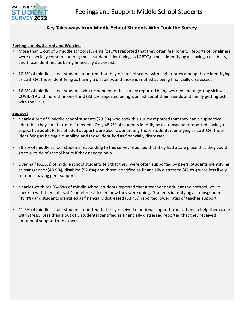

#### **Key Takeaways from Middle School Students Who Took the Survey**

#### **Feeling Lonely, Scared and Worried**

- More than 1 out of 5 middle school students (21.7%) reported that they often feel lonely. Reports of loneliness were especially common among those students identifying as LGBTQ+, those identifying as having a disability, and those identified as being financially distressed.
- 10.6% of middle school students reported that they often feel scared with higher rates among those identifying as LGBTQ+, those identifying as having a disability, and those identified as being financially distressed.
- 16.8% of middle school students who responded to this survey reported being worried about getting sick with COVID-19 and more than one-third (33.1%) reported being worried about their friends and family getting sick with the virus.

#### **Support**

- Nearly 4 out of 5 middle school students (79.3%) who took this survey reported that they had a supportive adult that they could turn to if needed. Only 48.2% of students identifying as transgender reported having a supportive adult. Rates of adult support were also lower among those students identifying as LGBTQ+, those identifying as having a disability, and those identified as financially distressed.
- 88.7% of middle school students responding to this survey reported that they had a safe place that they could go to outside of school hours if they needed help.
- Over half (61.5%) of middle school students felt that they were often supported by peers. Students identifying as transgender (48.9%), disabled (52.8%) and those identified as financially distressed (42.8%) were less likely to report having peer support.
- Nearly two thirds (64.5%) of middle school students reported that a teacher or adult at their school would check in with them at least "sometimes" to see how they were doing. Students identifying as transgender (49.4%) and students identified as financially distressed (53.4%) reported lower rates of teacher support.
- 41.6% of middle school students reported that they received emotional support from others to help them cope with stress. Less than 1 out of 3 students identified as financially distressed reported that they received emotional support from others.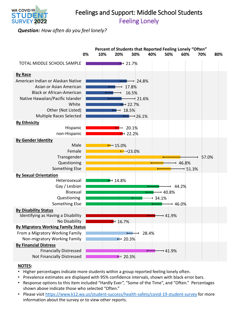

## Feelings and Support: Middle School Students Feeling Lonely

*Question: How often do you feel lonely?* 



- Higher percentages indicate more students within a group reported feeling lonely often.
- Prevalence estimates are displayed with 95% confidence intervals, shown with black error bars.
- Response options to this item included "Hardly Ever", "Some of the Time", and "Often." Percentages shown above indicate those who selected "Often."
- Please visit <https://www.k12.wa.us/student-success/health-safety/covid-19-student-survey>for more information about the survey or to view other reports.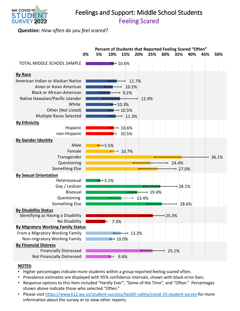

## Feelings and Support: Middle School Students Feeling Scared

*Question: How often do you feel scared?* 



- Higher percentages indicate more students within a group reported feeling scared often.
- Prevalence estimates are displayed with 95% confidence intervals, shown with black error bars.
- Response options to this item included "Hardly Ever", "Some of the Time", and "Often." Percentages shown above indicate those who selected "Often."
- Please visit <https://www.k12.wa.us/student-success/health-safety/covid-19-student-survey>for more information about the survey or to view other reports.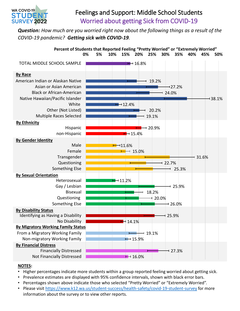

## Feelings and Support: Middle School Students Worried about getting Sick from COVID-19

*Question: How much are you worried right now about the following things as a result of the COVID-19 pandemic? Getting sick with COVID-19.* 



- Higher percentages indicate more students within a group reported feeling worried about getting sick.
- Prevalence estimates are displayed with 95% confidence intervals, shown with black error bars.
- Percentages shown above indicate those who selected "Pretty Worried" or "Extremely Worried".
- Please visit <https://www.k12.wa.us/student-success/health-safety/covid-19-student-survey>for more information about the survey or to view other reports.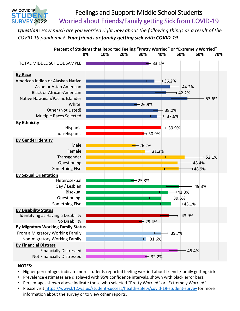## Feelings and Support: Middle School Students Worried about Friends/Family getting Sick from COVID-19

*Question: How much are you worried right now about the following things as a result of the COVID-19 pandemic? Your friends or family getting sick with COVID-19.* 



#### **NOTES:**

WA COVID-19 STUDEI **SURVEY 2022** 

- Higher percentages indicate more students reported feeling worried about friends/family getting sick.
- Prevalence estimates are displayed with 95% confidence intervals, shown with black error bars.
- Percentages shown above indicate those who selected "Pretty Worried" or "Extremely Worried".
- Please visit <https://www.k12.wa.us/student-success/health-safety/covid-19-student-survey>for more information about the survey or to view other reports.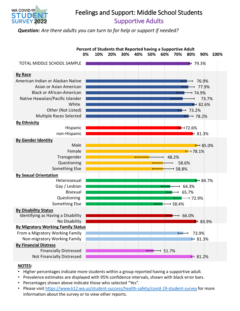

## Feelings and Support: Middle School Students Supportive Adults

*Question: Are there adults you can turn to for help or support if needed?* 



- Higher percentages indicate more students within a group reported having a supportive adult.
- Prevalence estimates are displayed with 95% confidence intervals, shown with black error bars.
- Percentages shown above indicate those who selected "Yes".
- Please visit <https://www.k12.wa.us/student-success/health-safety/covid-19-student-survey>for more information about the survey or to view other reports.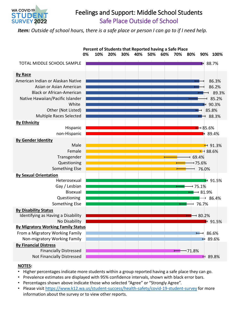

## Feelings and Support: Middle School Students Safe Place Outside of School

*Item: Outside of school hours, there is a safe place or person I can go to if I need help.* 



- Higher percentages indicate more students within a group reported having a safe place they can go.
- Prevalence estimates are displayed with 95% confidence intervals, shown with black error bars.
- Percentages shown above indicate those who selected "Agree" or "Strongly Agree".
- Please visit <https://www.k12.wa.us/student-success/health-safety/covid-19-student-survey>for more information about the survey or to view other reports.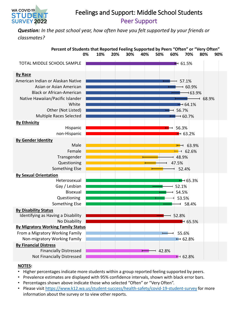

## Feelings and Support: Middle School Students Peer Support

*Question: In the past school year, how often have you felt supported by your friends or classmates?* 



- Higher percentages indicate more students within a group reported feeling supported by peers.
- Prevalence estimates are displayed with 95% confidence intervals, shown with black error bars.
- Percentages shown above indicate those who selected "Often" or "Very Often".
- Please visit <https://www.k12.wa.us/student-success/health-safety/covid-19-student-survey>for more information about the survey or to view other reports.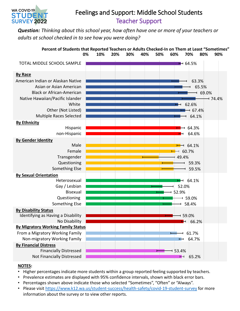

## Feelings and Support: Middle School Students Teacher Support

*Question: Thinking about this school year, how often have one or more of your teachers or adults at school checked in to see how you were doing?* 



- Higher percentages indicate more students within a group reported feeling supported by teachers.
- Prevalence estimates are displayed with 95% confidence intervals, shown with black error bars.
- Percentages shown above indicate those who selected "Sometimes", "Often" or "Always".
- Please visit <https://www.k12.wa.us/student-success/health-safety/covid-19-student-survey>for more information about the survey or to view other reports.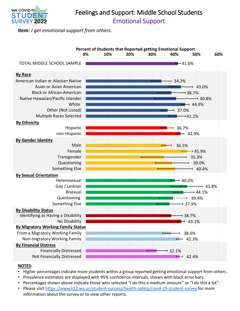

## Feelings and Support: Middle School Students Emotional Support

*Item: I get emotional support from others.* 



- Higher percentages indicate more students within a group reported getting emotional support from others.
- Prevalence estimates are displayed with 95% confidence intervals, shown with black error bars.
- Percentages shown above indicate those who selected "I do this a medium amount" or "I do this a lot".
- Please visit <https://www.k12.wa.us/student-success/health-safety/covid-19-student-survey>for more information about the survey or to view other reports.